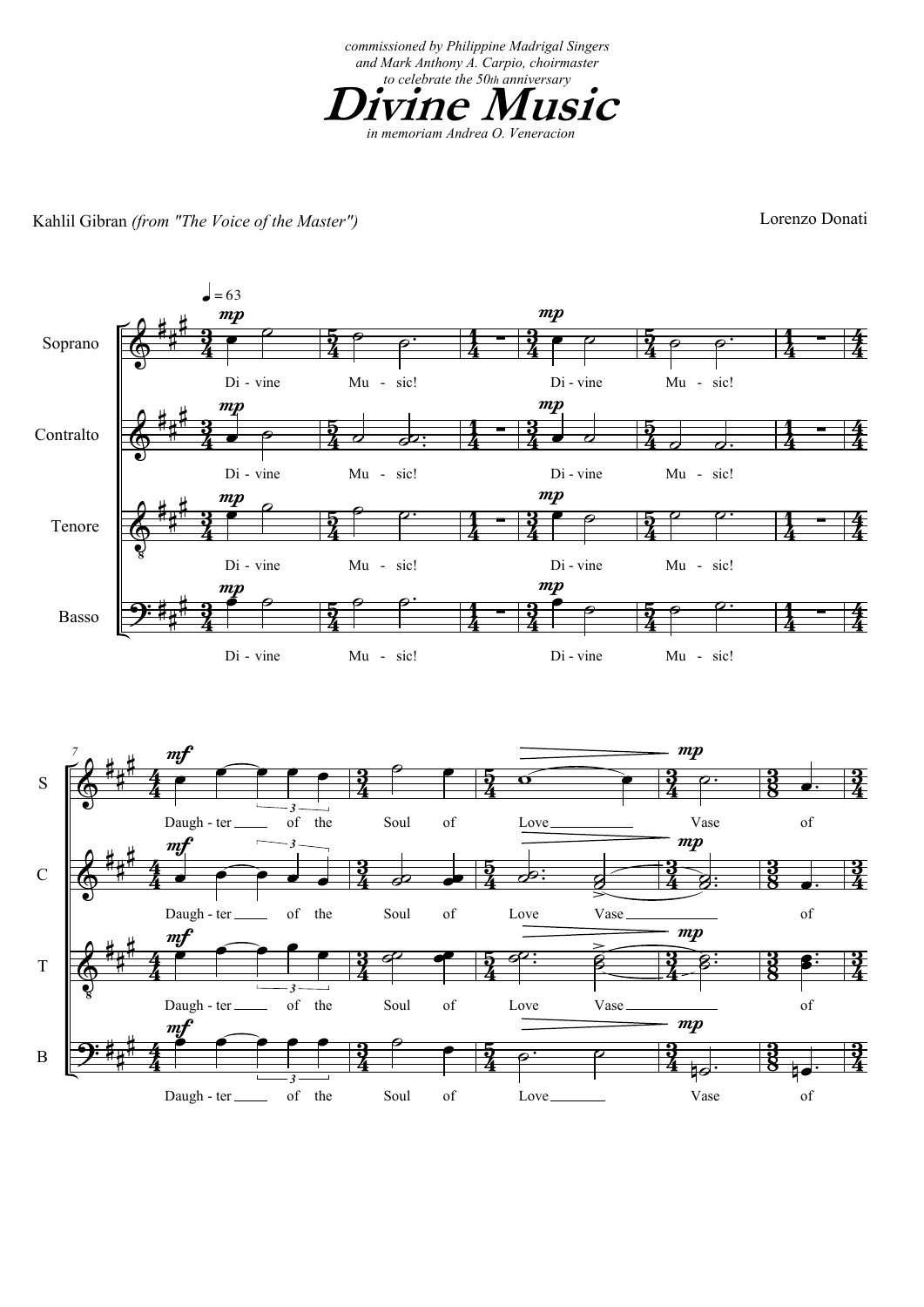

Kahlil Gibran *(from "The Voice of the Master")*

Lorenzo Donati

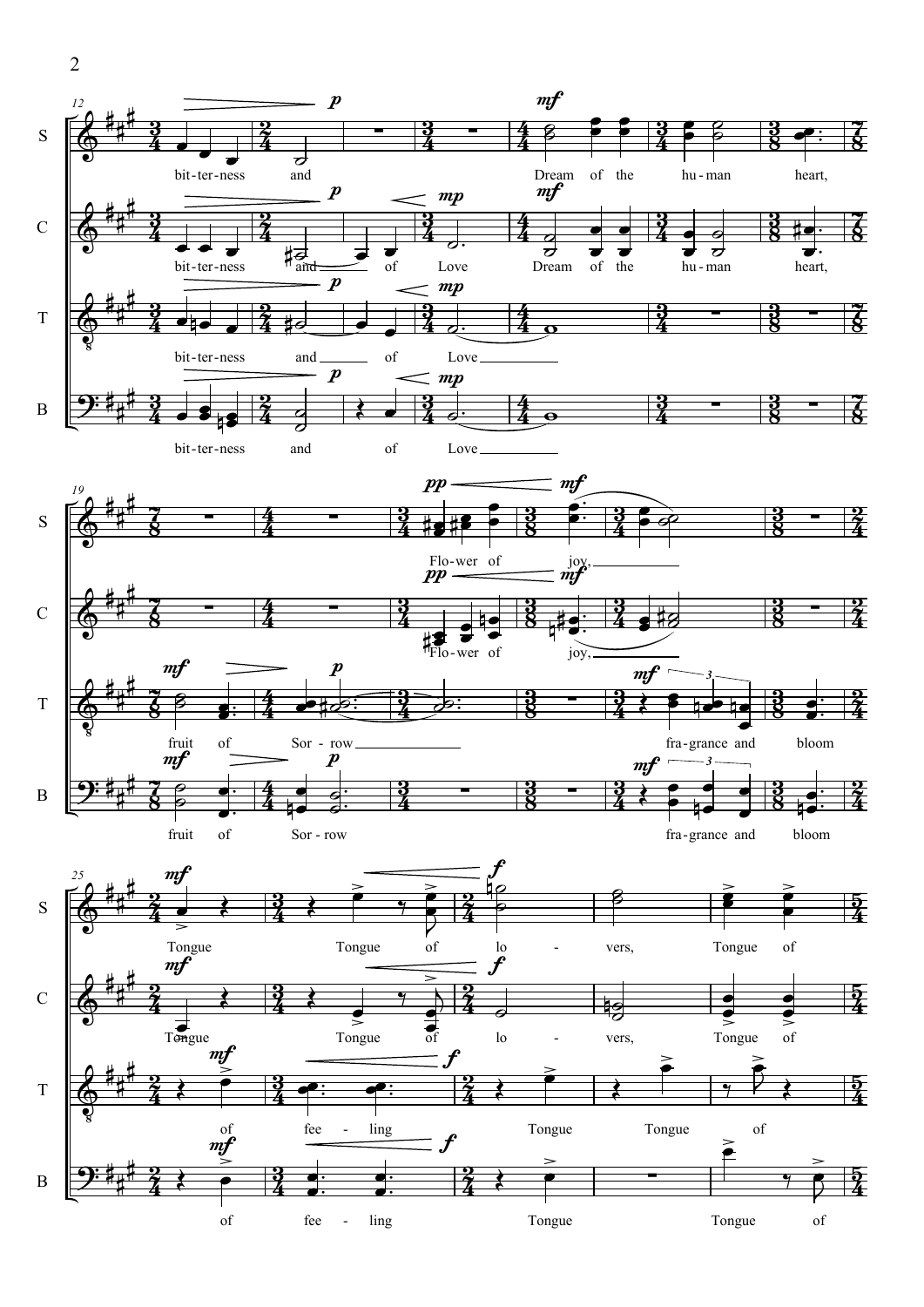$\overline{2}$ 

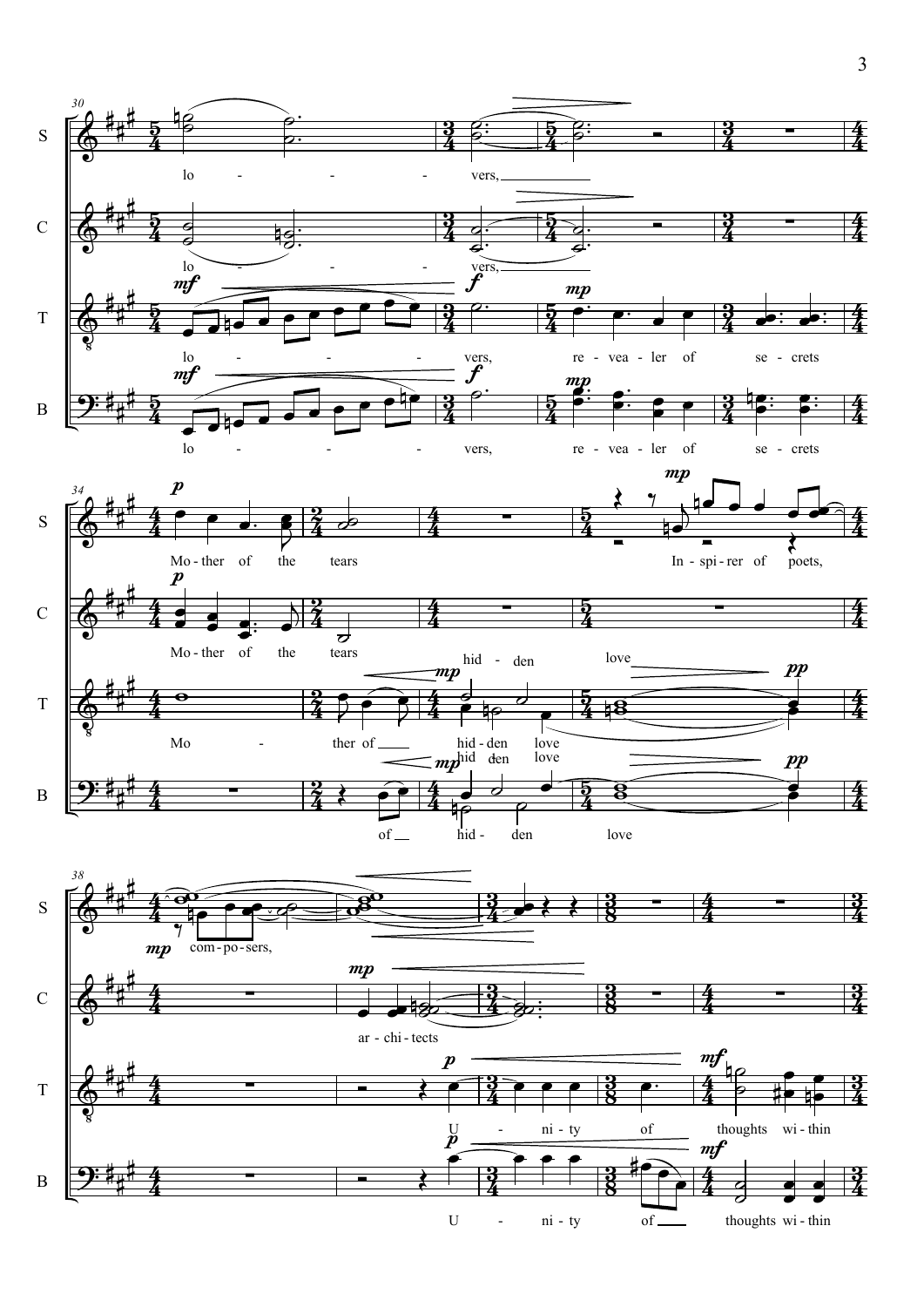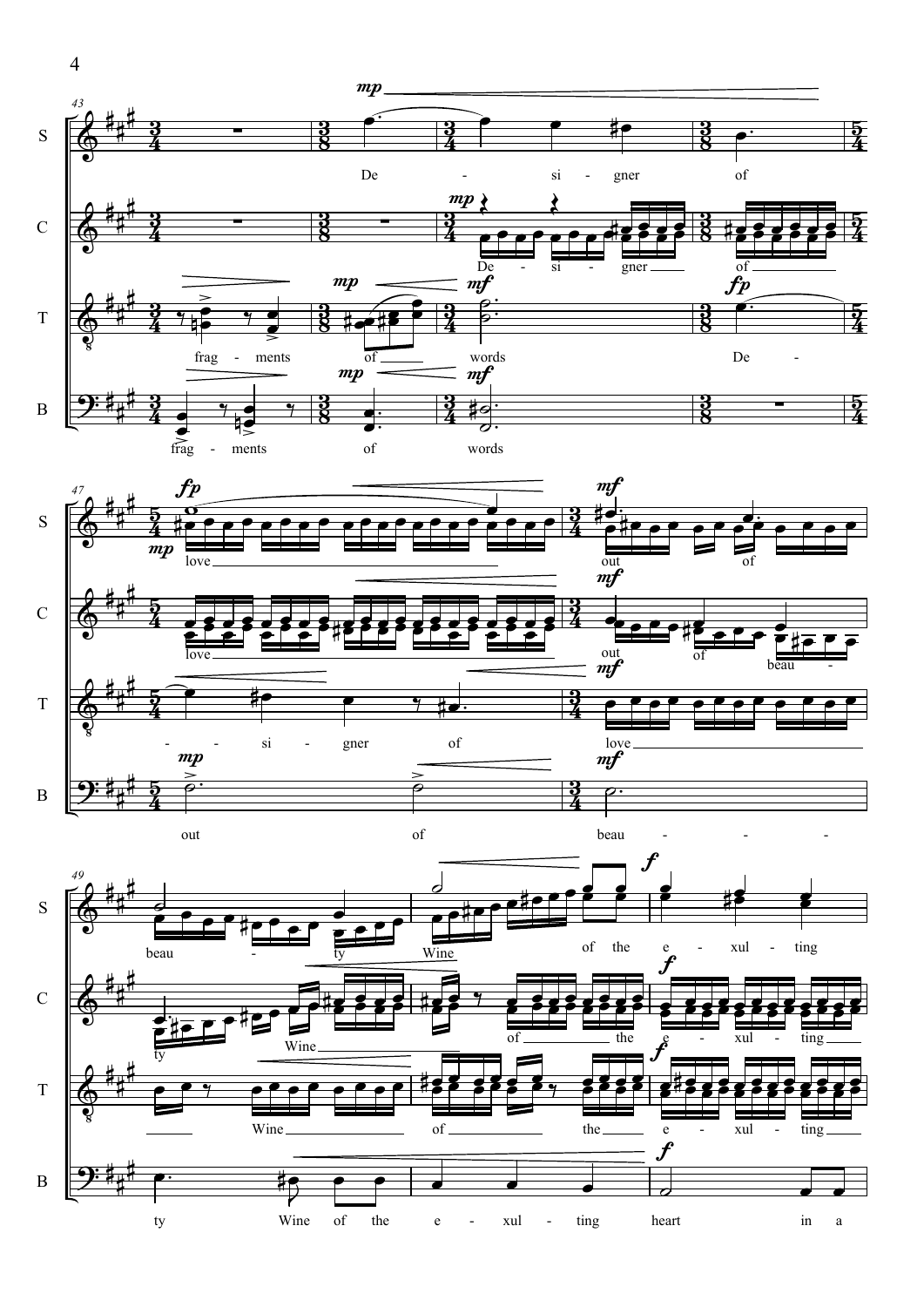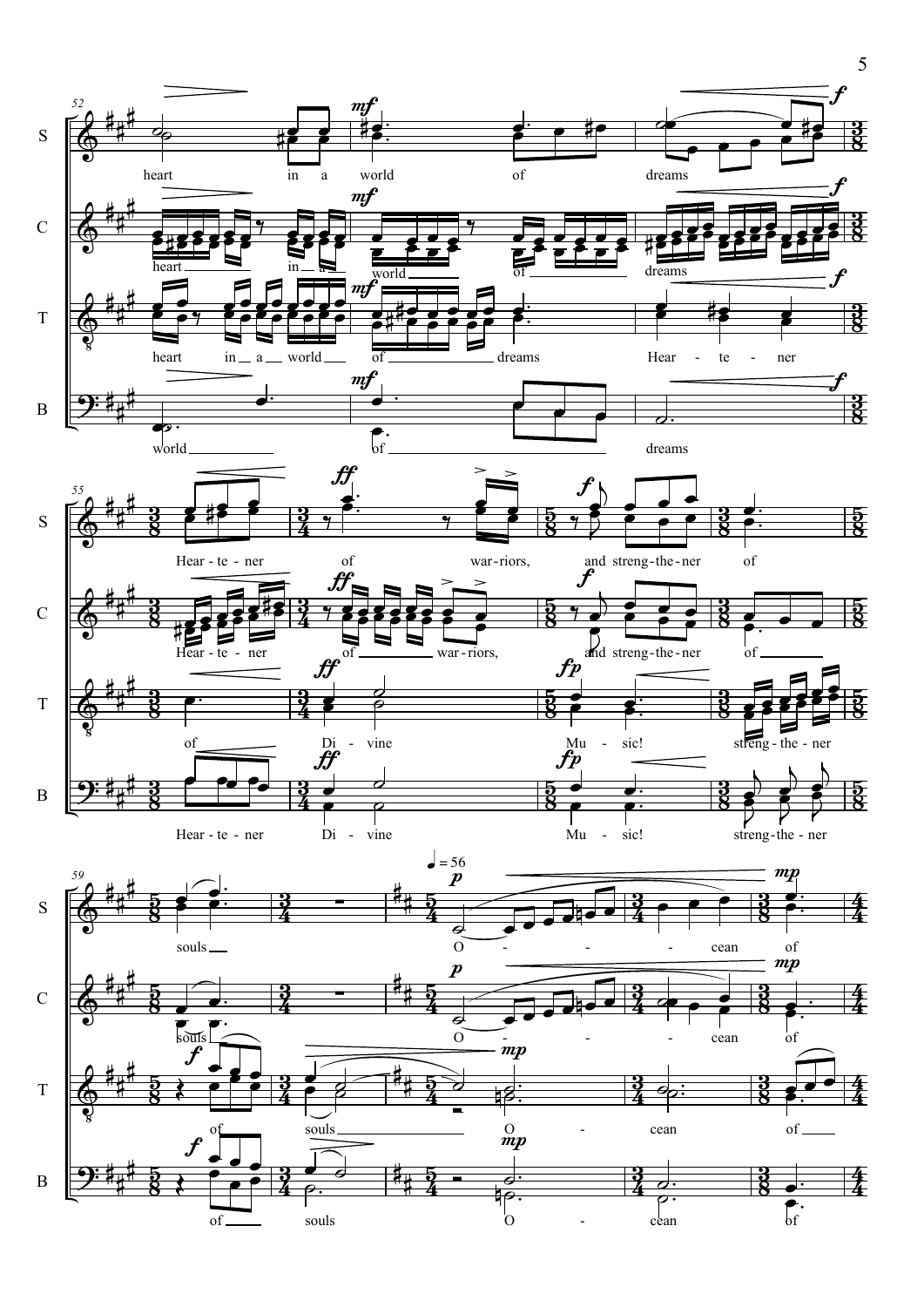

5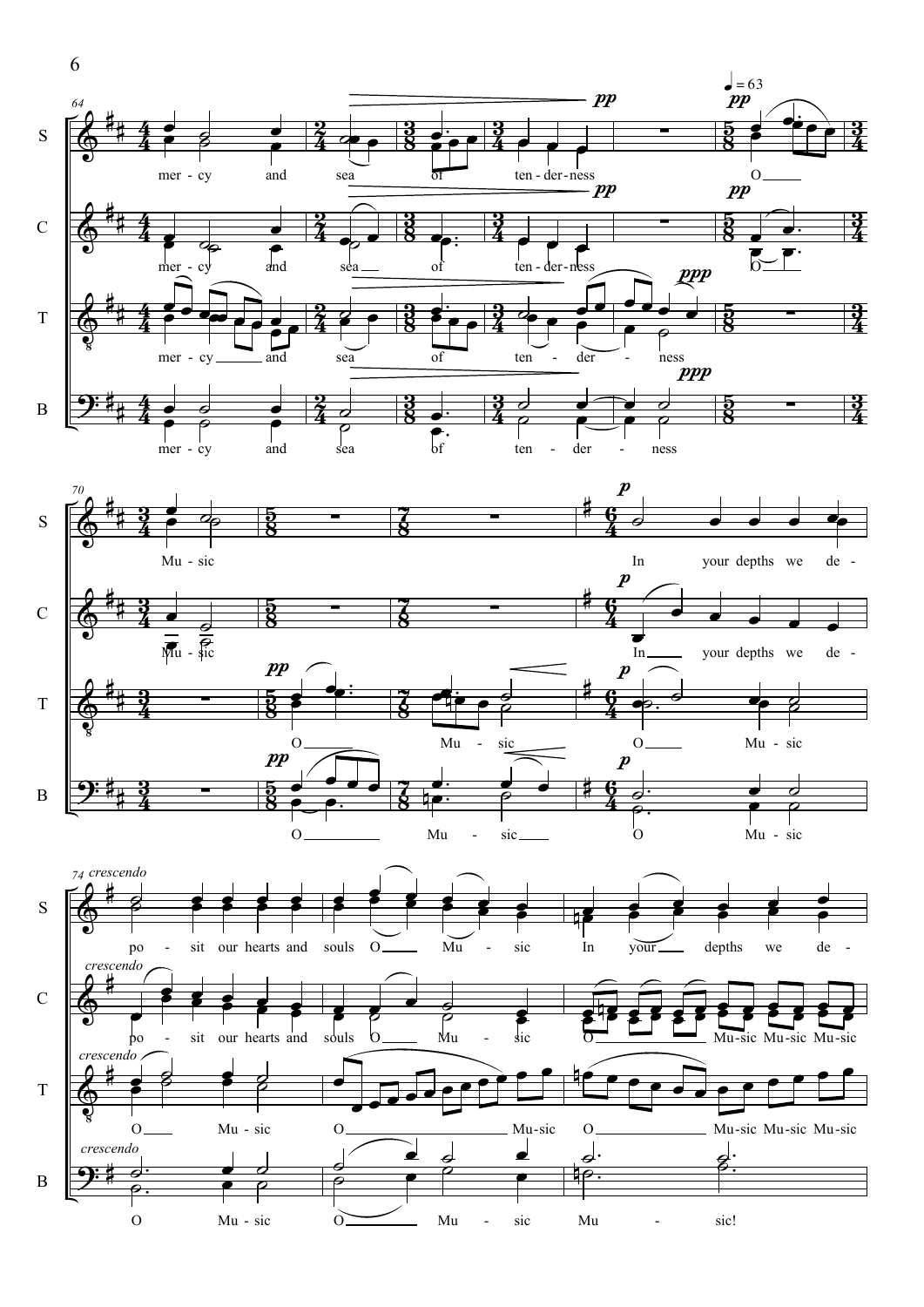





6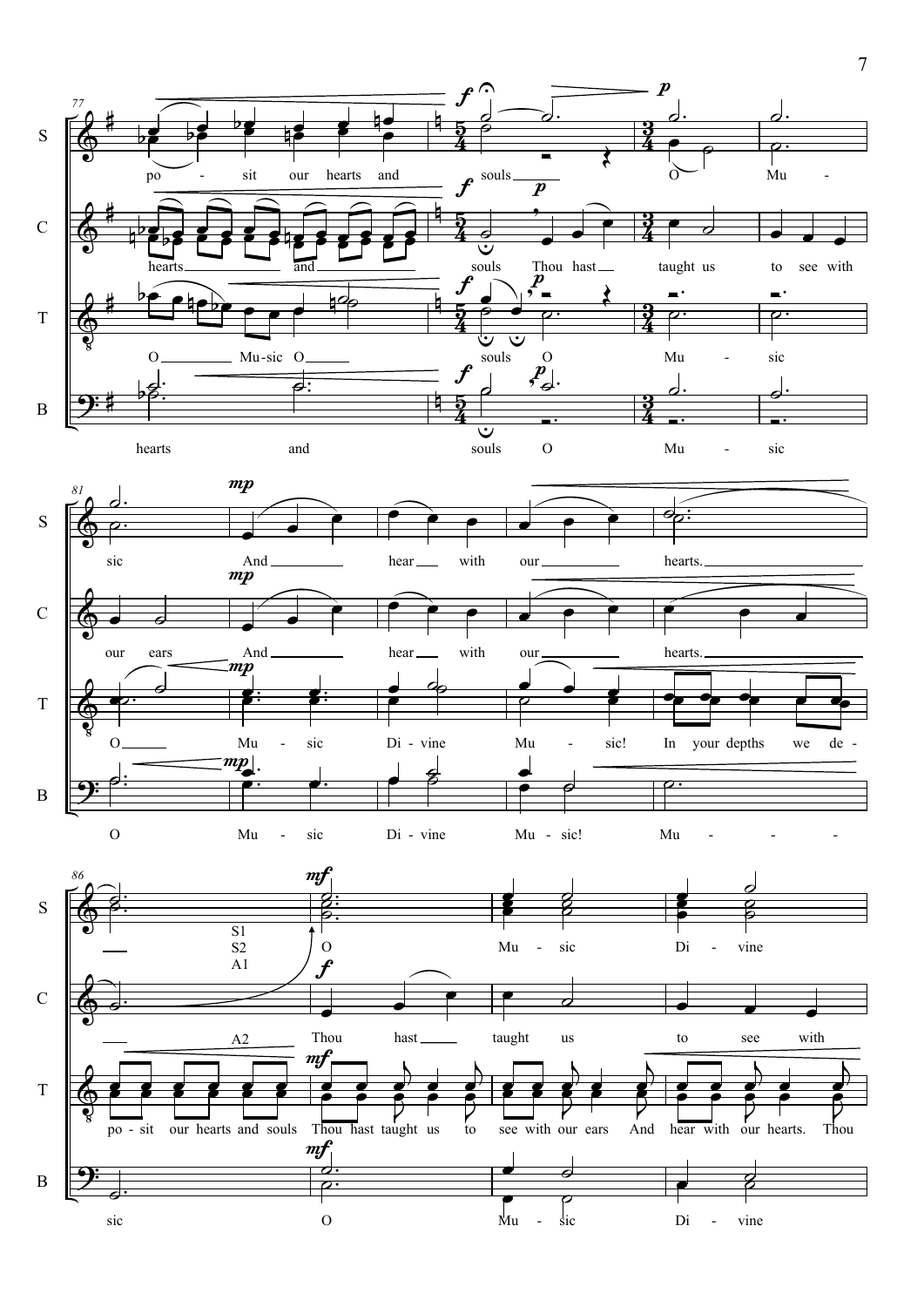